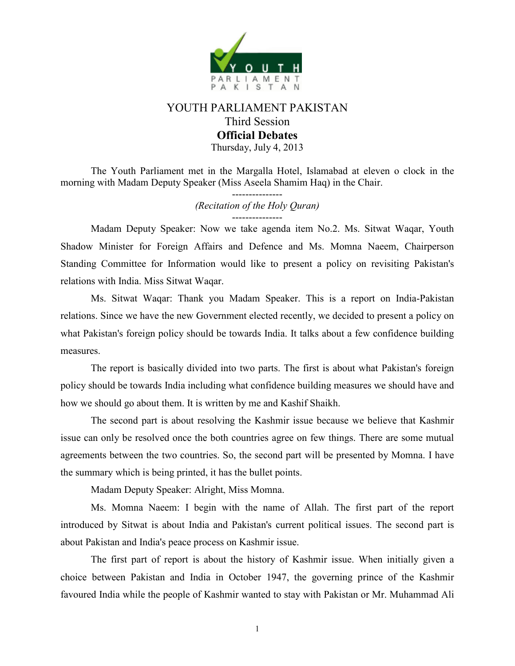

## YOUTH PARLIAMENT PAKISTAN Third Session **Official Debates**  Thursday, July 4, 2013

The Youth Parliament met in the Margalla Hotel, Islamabad at eleven o clock in the morning with Madam Deputy Speaker (Miss Aseela Shamim Haq) in the Chair.

> --------------- *(Recitation of the Holy Quran)*  ---------------

 Madam Deputy Speaker: Now we take agenda item No.2. Ms. Sitwat Waqar, Youth Shadow Minister for Foreign Affairs and Defence and Ms. Momna Naeem, Chairperson Standing Committee for Information would like to present a policy on revisiting Pakistan's relations with India. Miss Sitwat Waqar.

 Ms. Sitwat Waqar: Thank you Madam Speaker. This is a report on India-Pakistan relations. Since we have the new Government elected recently, we decided to present a policy on what Pakistan's foreign policy should be towards India. It talks about a few confidence building measures.

The report is basically divided into two parts. The first is about what Pakistan's foreign policy should be towards India including what confidence building measures we should have and how we should go about them. It is written by me and Kashif Shaikh.

The second part is about resolving the Kashmir issue because we believe that Kashmir issue can only be resolved once the both countries agree on few things. There are some mutual agreements between the two countries. So, the second part will be presented by Momna. I have the summary which is being printed, it has the bullet points.

Madam Deputy Speaker: Alright, Miss Momna.

Ms. Momna Naeem: I begin with the name of Allah. The first part of the report introduced by Sitwat is about India and Pakistan's current political issues. The second part is about Pakistan and India's peace process on Kashmir issue.

The first part of report is about the history of Kashmir issue. When initially given a choice between Pakistan and India in October 1947, the governing prince of the Kashmir favoured India while the people of Kashmir wanted to stay with Pakistan or Mr. Muhammad Ali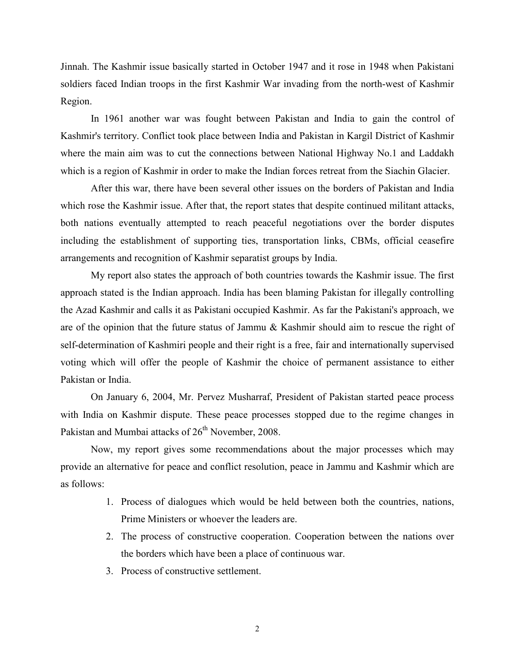Jinnah. The Kashmir issue basically started in October 1947 and it rose in 1948 when Pakistani soldiers faced Indian troops in the first Kashmir War invading from the north-west of Kashmir Region.

In 1961 another war was fought between Pakistan and India to gain the control of Kashmir's territory. Conflict took place between India and Pakistan in Kargil District of Kashmir where the main aim was to cut the connections between National Highway No.1 and Laddakh which is a region of Kashmir in order to make the Indian forces retreat from the Siachin Glacier.

After this war, there have been several other issues on the borders of Pakistan and India which rose the Kashmir issue. After that, the report states that despite continued militant attacks, both nations eventually attempted to reach peaceful negotiations over the border disputes including the establishment of supporting ties, transportation links, CBMs, official ceasefire arrangements and recognition of Kashmir separatist groups by India.

My report also states the approach of both countries towards the Kashmir issue. The first approach stated is the Indian approach. India has been blaming Pakistan for illegally controlling the Azad Kashmir and calls it as Pakistani occupied Kashmir. As far the Pakistani's approach, we are of the opinion that the future status of Jammu & Kashmir should aim to rescue the right of self-determination of Kashmiri people and their right is a free, fair and internationally supervised voting which will offer the people of Kashmir the choice of permanent assistance to either Pakistan or India.

On January 6, 2004, Mr. Pervez Musharraf, President of Pakistan started peace process with India on Kashmir dispute. These peace processes stopped due to the regime changes in Pakistan and Mumbai attacks of 26<sup>th</sup> November, 2008.

Now, my report gives some recommendations about the major processes which may provide an alternative for peace and conflict resolution, peace in Jammu and Kashmir which are as follows:

- 1. Process of dialogues which would be held between both the countries, nations, Prime Ministers or whoever the leaders are.
- 2. The process of constructive cooperation. Cooperation between the nations over the borders which have been a place of continuous war.
- 3. Process of constructive settlement.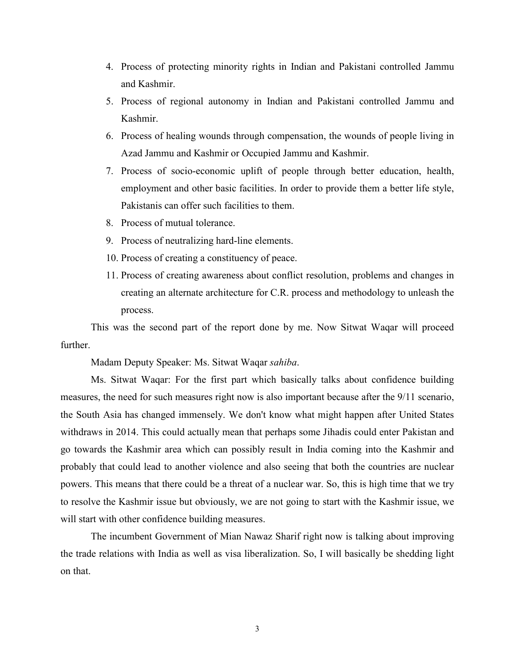- 4. Process of protecting minority rights in Indian and Pakistani controlled Jammu and Kashmir.
- 5. Process of regional autonomy in Indian and Pakistani controlled Jammu and Kashmir.
- 6. Process of healing wounds through compensation, the wounds of people living in Azad Jammu and Kashmir or Occupied Jammu and Kashmir.
- 7. Process of socio-economic uplift of people through better education, health, employment and other basic facilities. In order to provide them a better life style, Pakistanis can offer such facilities to them.
- 8. Process of mutual tolerance.
- 9. Process of neutralizing hard-line elements.
- 10. Process of creating a constituency of peace.
- 11. Process of creating awareness about conflict resolution, problems and changes in creating an alternate architecture for C.R. process and methodology to unleash the process.

This was the second part of the report done by me. Now Sitwat Waqar will proceed further.

Madam Deputy Speaker: Ms. Sitwat Waqar *sahiba*.

Ms. Sitwat Waqar: For the first part which basically talks about confidence building measures, the need for such measures right now is also important because after the 9/11 scenario, the South Asia has changed immensely. We don't know what might happen after United States withdraws in 2014. This could actually mean that perhaps some Jihadis could enter Pakistan and go towards the Kashmir area which can possibly result in India coming into the Kashmir and probably that could lead to another violence and also seeing that both the countries are nuclear powers. This means that there could be a threat of a nuclear war. So, this is high time that we try to resolve the Kashmir issue but obviously, we are not going to start with the Kashmir issue, we will start with other confidence building measures.

The incumbent Government of Mian Nawaz Sharif right now is talking about improving the trade relations with India as well as visa liberalization. So, I will basically be shedding light on that.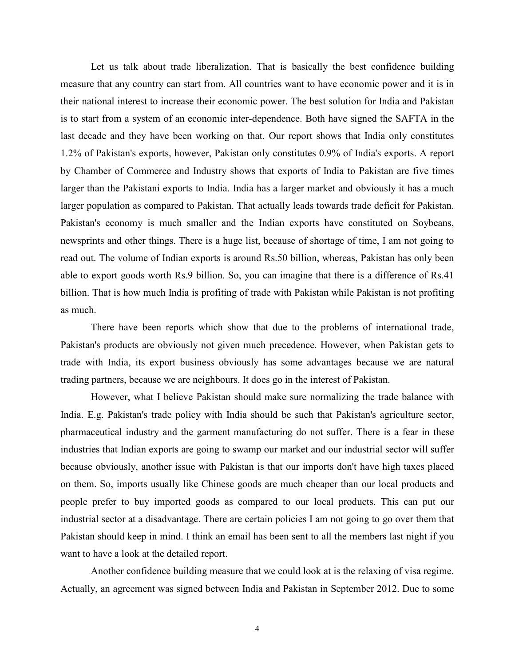Let us talk about trade liberalization. That is basically the best confidence building measure that any country can start from. All countries want to have economic power and it is in their national interest to increase their economic power. The best solution for India and Pakistan is to start from a system of an economic inter-dependence. Both have signed the SAFTA in the last decade and they have been working on that. Our report shows that India only constitutes 1.2% of Pakistan's exports, however, Pakistan only constitutes 0.9% of India's exports. A report by Chamber of Commerce and Industry shows that exports of India to Pakistan are five times larger than the Pakistani exports to India. India has a larger market and obviously it has a much larger population as compared to Pakistan. That actually leads towards trade deficit for Pakistan. Pakistan's economy is much smaller and the Indian exports have constituted on Soybeans, newsprints and other things. There is a huge list, because of shortage of time, I am not going to read out. The volume of Indian exports is around Rs.50 billion, whereas, Pakistan has only been able to export goods worth Rs.9 billion. So, you can imagine that there is a difference of Rs.41 billion. That is how much India is profiting of trade with Pakistan while Pakistan is not profiting as much.

There have been reports which show that due to the problems of international trade, Pakistan's products are obviously not given much precedence. However, when Pakistan gets to trade with India, its export business obviously has some advantages because we are natural trading partners, because we are neighbours. It does go in the interest of Pakistan.

However, what I believe Pakistan should make sure normalizing the trade balance with India. E.g. Pakistan's trade policy with India should be such that Pakistan's agriculture sector, pharmaceutical industry and the garment manufacturing do not suffer. There is a fear in these industries that Indian exports are going to swamp our market and our industrial sector will suffer because obviously, another issue with Pakistan is that our imports don't have high taxes placed on them. So, imports usually like Chinese goods are much cheaper than our local products and people prefer to buy imported goods as compared to our local products. This can put our industrial sector at a disadvantage. There are certain policies I am not going to go over them that Pakistan should keep in mind. I think an email has been sent to all the members last night if you want to have a look at the detailed report.

 Another confidence building measure that we could look at is the relaxing of visa regime. Actually, an agreement was signed between India and Pakistan in September 2012. Due to some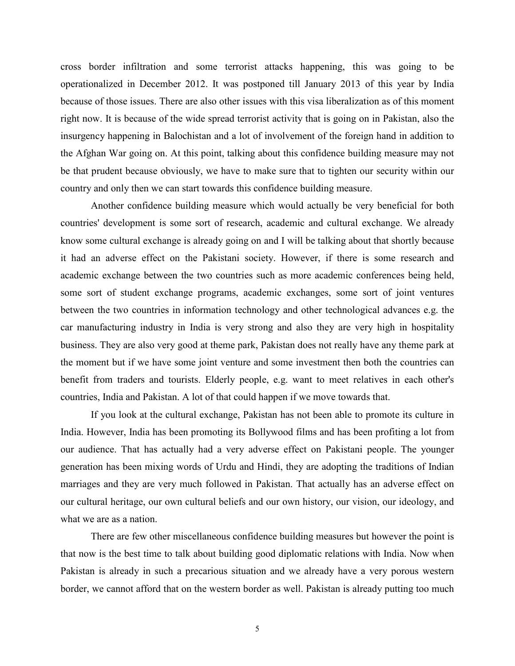cross border infiltration and some terrorist attacks happening, this was going to be operationalized in December 2012. It was postponed till January 2013 of this year by India because of those issues. There are also other issues with this visa liberalization as of this moment right now. It is because of the wide spread terrorist activity that is going on in Pakistan, also the insurgency happening in Balochistan and a lot of involvement of the foreign hand in addition to the Afghan War going on. At this point, talking about this confidence building measure may not be that prudent because obviously, we have to make sure that to tighten our security within our country and only then we can start towards this confidence building measure.

 Another confidence building measure which would actually be very beneficial for both countries' development is some sort of research, academic and cultural exchange. We already know some cultural exchange is already going on and I will be talking about that shortly because it had an adverse effect on the Pakistani society. However, if there is some research and academic exchange between the two countries such as more academic conferences being held, some sort of student exchange programs, academic exchanges, some sort of joint ventures between the two countries in information technology and other technological advances e.g. the car manufacturing industry in India is very strong and also they are very high in hospitality business. They are also very good at theme park, Pakistan does not really have any theme park at the moment but if we have some joint venture and some investment then both the countries can benefit from traders and tourists. Elderly people, e.g. want to meet relatives in each other's countries, India and Pakistan. A lot of that could happen if we move towards that.

 If you look at the cultural exchange, Pakistan has not been able to promote its culture in India. However, India has been promoting its Bollywood films and has been profiting a lot from our audience. That has actually had a very adverse effect on Pakistani people. The younger generation has been mixing words of Urdu and Hindi, they are adopting the traditions of Indian marriages and they are very much followed in Pakistan. That actually has an adverse effect on our cultural heritage, our own cultural beliefs and our own history, our vision, our ideology, and what we are as a nation.

 There are few other miscellaneous confidence building measures but however the point is that now is the best time to talk about building good diplomatic relations with India. Now when Pakistan is already in such a precarious situation and we already have a very porous western border, we cannot afford that on the western border as well. Pakistan is already putting too much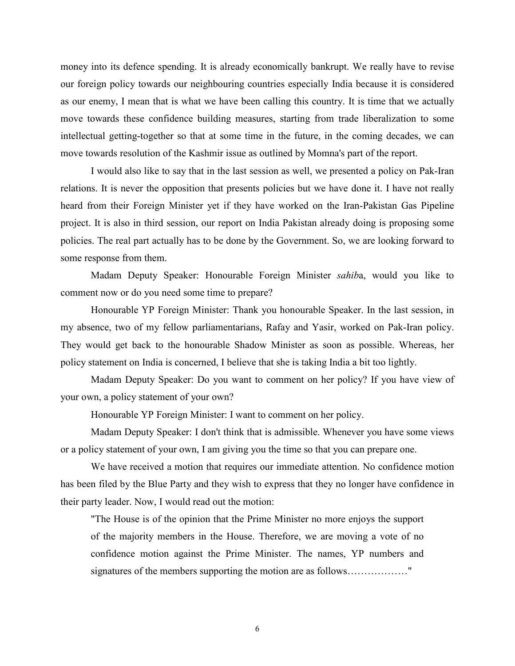money into its defence spending. It is already economically bankrupt. We really have to revise our foreign policy towards our neighbouring countries especially India because it is considered as our enemy, I mean that is what we have been calling this country. It is time that we actually move towards these confidence building measures, starting from trade liberalization to some intellectual getting-together so that at some time in the future, in the coming decades, we can move towards resolution of the Kashmir issue as outlined by Momna's part of the report.

 I would also like to say that in the last session as well, we presented a policy on Pak-Iran relations. It is never the opposition that presents policies but we have done it. I have not really heard from their Foreign Minister yet if they have worked on the Iran-Pakistan Gas Pipeline project. It is also in third session, our report on India Pakistan already doing is proposing some policies. The real part actually has to be done by the Government. So, we are looking forward to some response from them.

 Madam Deputy Speaker: Honourable Foreign Minister *sahib*a, would you like to comment now or do you need some time to prepare?

 Honourable YP Foreign Minister: Thank you honourable Speaker. In the last session, in my absence, two of my fellow parliamentarians, Rafay and Yasir, worked on Pak-Iran policy. They would get back to the honourable Shadow Minister as soon as possible. Whereas, her policy statement on India is concerned, I believe that she is taking India a bit too lightly.

 Madam Deputy Speaker: Do you want to comment on her policy? If you have view of your own, a policy statement of your own?

Honourable YP Foreign Minister: I want to comment on her policy.

 Madam Deputy Speaker: I don't think that is admissible. Whenever you have some views or a policy statement of your own, I am giving you the time so that you can prepare one.

 We have received a motion that requires our immediate attention. No confidence motion has been filed by the Blue Party and they wish to express that they no longer have confidence in their party leader. Now, I would read out the motion:

"The House is of the opinion that the Prime Minister no more enjoys the support of the majority members in the House. Therefore, we are moving a vote of no confidence motion against the Prime Minister. The names, YP numbers and signatures of the members supporting the motion are as follows…………………………………………………